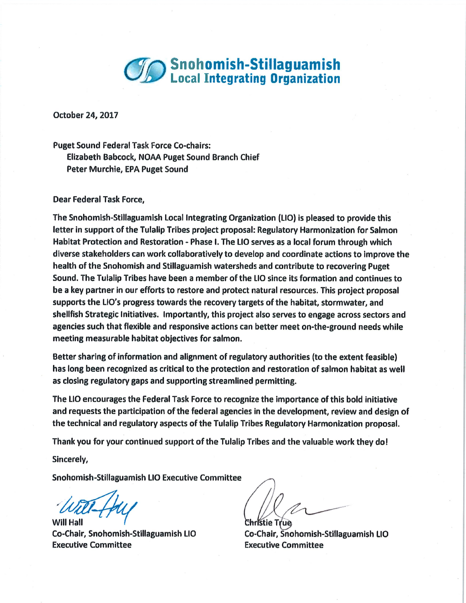

October 24, 2017

Puget Sound Federal Task Force Co-chairs: Elizabeth Babcock, NOAA Puget Sound Branch Chief Peter Murchie, EPA Puget Sound

Dear Federal Task Force,

The Snohomish-Stillaguamish Local Integrating Organization (LIO) is pleased to provide this letter in support of the Tulalip Tribes project proposal: Regulatory Harmonization for Salmon Habitat Protection and Restoration - Phase 1. The LIO serves as a local forum through which diverse stakeholders can work collaboratively to develop and coordinate actions to improve the health of the Snohomish and Stillaguamish watersheds and contribute to recovering Puget Sound. The Tulalip Tribes have been a member of the LIO since its formation and continues to be a key partner in our efforts to restore and protect natural resources. This project proposal supports the LIO's progress towards the recovery targets of the habitat, stormwater, and shellfish Strategic Initiatives. Importantly, this project also serves to engage across sectors and agencies such that flexible and responsive actions can better meet on-the-ground needs while meeting measurable habitat objectives for salmon.

Better sharing of information and alignment of regulatory authorities (to the extent feasible) has long been recognized as critical to the protection and restoration of salmon habitat as well as closing regulatory gaps and supporting streamlined permitting.

The L10 encourages the Federal Task Force to recognize the importance of this bold initiative and requests the participation of the federal agencies in the development, review and design of the technical and regulatory aspects of the Tulalip Tribes Regulatory Harmonization proposal.

Thank you for your continued support of the Tulalip Tribes and the valuable work they do!

Sincerely,

Snohomish-Stillaguamish LIO Executive Committee

 $W = \frac{1}{2}$ 

Executive Committee Executive Committee

Co-Chair, Snohomish-Stillaguamish LIO Co-Chair, Snohomish-Stillaguamish LIO